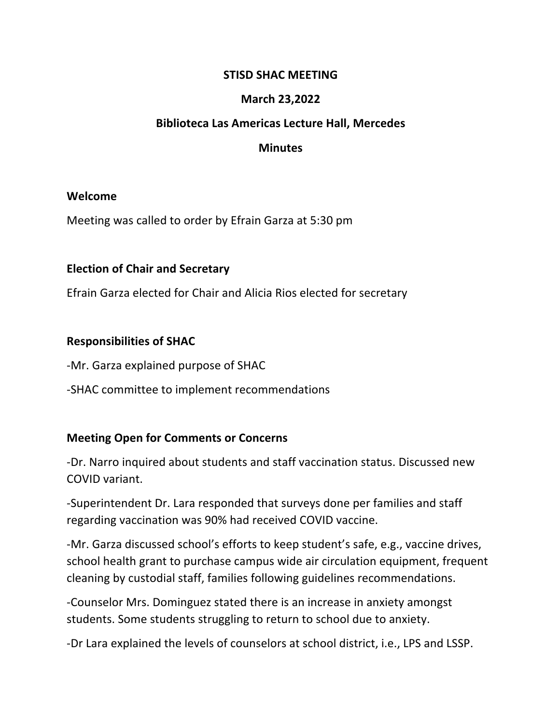#### **STISD SHAC MEETING**

### **March 23,2022**

#### **Biblioteca Las Americas Lecture Hall, Mercedes**

#### **Minutes**

#### **Welcome**

Meeting was called to order by Efrain Garza at 5:30 pm

### **Election of Chair and Secretary**

Efrain Garza elected for Chair and Alicia Rios elected for secretary

### **Responsibilities of SHAC**

-Mr. Garza explained purpose of SHAC

-SHAC committee to implement recommendations

# **Meeting Open for Comments or Concerns**

-Dr. Narro inquired about students and staff vaccination status. Discussed new COVID variant.

-Superintendent Dr. Lara responded that surveys done per families and staff regarding vaccination was 90% had received COVID vaccine.

-Mr. Garza discussed school's efforts to keep student's safe, e.g., vaccine drives, school health grant to purchase campus wide air circulation equipment, frequent cleaning by custodial staff, families following guidelines recommendations.

-Counselor Mrs. Dominguez stated there is an increase in anxiety amongst students. Some students struggling to return to school due to anxiety.

-Dr Lara explained the levels of counselors at school district, i.e., LPS and LSSP.